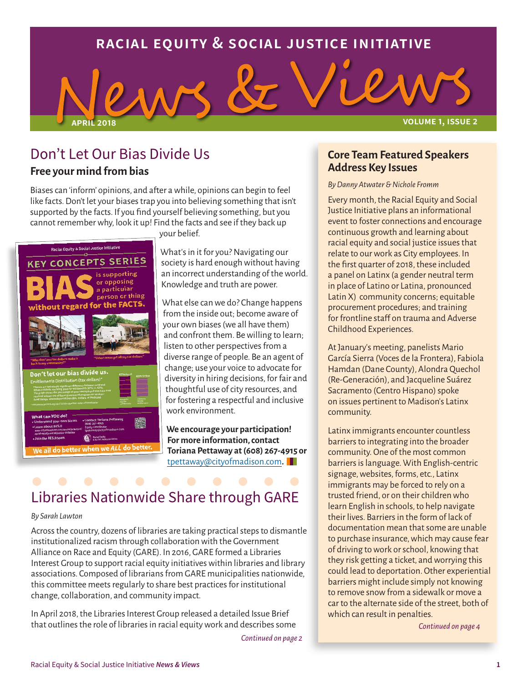## **racial equity & social justice initiative**



### Don't Let Our Bias Divide Us **Free your mind from bias**

Biases can 'inform' opinions, and after a while, opinions can begin to feel like facts. Don't let your biases trap you into believing something that isn't supported by the facts. If you find yourself believing something, but you cannot remember why, look it up! Find the facts and see if they back up

your belief.



What's in it for you? Navigating our society is hard enough without having an incorrect understanding of the world. Knowledge and truth are power.

What else can we do? Change happens from the inside out; become aware of your own biases (we all have them) and confront them. Be willing to learn; listen to other perspectives from a diverse range of people. Be an agent of change; use your voice to advocate for diversity in hiring decisions, for fair and thoughtful use of city resources, and for fostering a respectful and inclusive work environment.

**We encourage your participation! For more information, contact Toriana Pettaway at (608) 267-4915 or**  [tpettaway@cityofmadison.com](mailto:tpettaway@cityofmadison.com)**.** 

# Libraries Nationwide Share through GARE

### *By Sarah Lawton*

Across the country, dozens of libraries are taking practical steps to dismantle institutionalized racism through collaboration with the Government Alliance on Race and Equity (GARE). In 2016, GARE formed a Libraries Interest Group to support racial equity initiatives within libraries and library associations. Composed of librarians from GARE municipalities nationwide, this committee meets regularly to share best practices for institutional change, collaboration, and community impact.

In April 2018, the Libraries Interest Group released a detailed Issue Brief that outlines the role of libraries in racial equity work and describes some

*Continued on page 2*

### **Core Team Featured Speakers Address Key Issues**

### *By Danny Atwater & Nichole Fromm*

Every month, the Racial Equity and Social Justice Initiative plans an informational event to foster connections and encourage continuous growth and learning about racial equity and social justice issues that relate to our work as City employees. In the first quarter of 2018, these included a panel on Latinx (a gender neutral term in place of Latino or Latina, pronounced Latin X) community concerns; equitable procurement procedures; and training for frontline staff on trauma and Adverse Childhood Experiences.

At January's meeting, panelists Mario García Sierra (Voces de la Frontera), Fabiola Hamdan (Dane County), Alondra Quechol (Re-Generación), and Jacqueline Suárez Sacramento (Centro Hispano) spoke on issues pertinent to Madison's Latinx community.

Latinx immigrants encounter countless barriers to integrating into the broader community. One of the most common barriers is language. With English-centric signage, websites, forms, etc., Latinx immigrants may be forced to rely on a trusted friend, or on their children who learn English in schools, to help navigate their lives. Barriers in the form of lack of documentation mean that some are unable to purchase insurance, which may cause fear of driving to work or school, knowing that they risk getting a ticket, and worrying this could lead to deportation. Other experiential barriers might include simply not knowing to remove snow from a sidewalk or move a car to the alternate side of the street, both of which can result in penalties.

*Continued on page 4*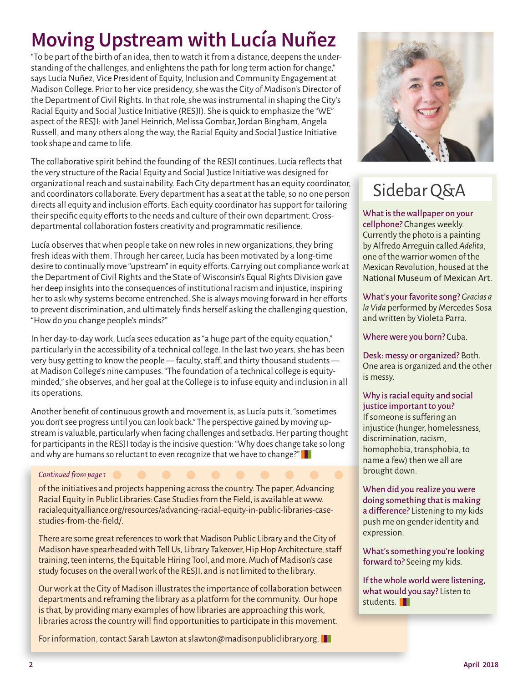# **Moving Upstream with Lucía Nuñez**

"To be part of the birth of an idea, then to watch it from a distance, deepens the understanding of the challenges, and enlightens the path for long term action for change," says Lucía Nuñez, Vice President of Equity, Inclusion and Community Engagement at Madison College. Prior to her vice presidency, she was the City of Madison's Director of the Department of Civil Rights. In that role, she was instrumental in shaping the City's Racial Equity and Social Justice Initiative (RESJI). She is quick to emphasize the "WE" aspect of the RESJI: with Janel Heinrich, Melissa Gombar, Jordan Bingham, Angela Russell, and many others along the way, the Racial Equity and Social Justice Initiative took shape and came to life.

The collaborative spirit behind the founding of the RESJI continues. Lucía reflects that the very structure of the Racial Equity and Social Justice Initiative was designed for organizational reach and sustainability. Each City department has an equity coordinator, and coordinators collaborate. Every department has a seat at the table, so no one person directs all equity and inclusion efforts. Each equity coordinator has support for tailoring their specific equity efforts to the needs and culture of their own department. Crossdepartmental collaboration fosters creativity and programmatic resilience.

Lucía observes that when people take on new roles in new organizations, they bring fresh ideas with them. Through her career, Lucía has been motivated by a long-time desire to continually move "upstream" in equity efforts. Carrying out compliance work at the Department of Civil Rights and the State of Wisconsin's Equal Rights Division gave her deep insights into the consequences of institutional racism and injustice, inspiring her to ask why systems become entrenched. She is always moving forward in her efforts to prevent discrimination, and ultimately finds herself asking the challenging question, "How do you change people's minds?"

In her day-to-day work, Lucía sees education as "a huge part of the equity equation," particularly in the accessibility of a technical college. In the last two years, she has been very busy getting to know the people — faculty, staff, and thirty thousand students at Madison College's nine campuses. "The foundation of a technical college is equityminded," she observes, and her goal at the College is to infuse equity and inclusion in all its operations.

Another benefit of continuous growth and movement is, as Lucía puts it, "sometimes you don't see progress until you can look back." The perspective gained by moving upstream is valuable, particularly when facing challenges and setbacks. Her parting thought for participants in the RESJI today is the incisive question: "Why does change take so long and why are humans so reluctant to even recognize that we have to change?"

### *Continued from page 1*

of the initiatives and projects happening across the country. The paper, Advancing Racial Equity in Public Libraries: Case Studies from the Field, is available at www. racialequityalliance.org/resources/advancing-racial-equity-in-public-libraries-casestudies-from-the-field/.

There are some great references to work that Madison Public Library and the City of Madison have spearheaded with Tell Us, Library Takeover, Hip Hop Architecture, staff training, teen interns, the Equitable Hiring Tool, and more. Much of Madison's case study focuses on the overall work of the RESJI, and is not limited to the library.

Our work at the City of Madison illustrates the importance of collaboration between departments and reframing the library as a platform for the community. Our hope is that, by providing many examples of how libraries are approaching this work, libraries across the country will find opportunities to participate in this movement.

For information, contact Sarah Lawton at slawton@madisonpubliclibrary.org.



## Sidebar Q&A

What is the wallpaper on your cellphone? Changes weekly. Currently the photo is a painting by Alfredo Arreguin called *Adelita*, one of the warrior women of the Mexican Revolution, housed at the National Museum of Mexican Art.

What's your favorite song? *Gracias a la Vida* performed by Mercedes Sosa and written by Violeta Parra.

Where were you born? Cuba.

Desk: messy or organized? Both. One area is organized and the other is messy.

### Why is racial equity and social justice important to you?

If someone is suffering an injustice (hunger, homelessness, discrimination, racism, homophobia, transphobia, to name a few) then we all are brought down.

When did you realize you were doing something that is making a difference? Listening to my kids push me on gender identity and expression.

What's something you're looking forward to? Seeing my kids.

If the whole world were listening, what would you say? Listen to students<sup>II</sup>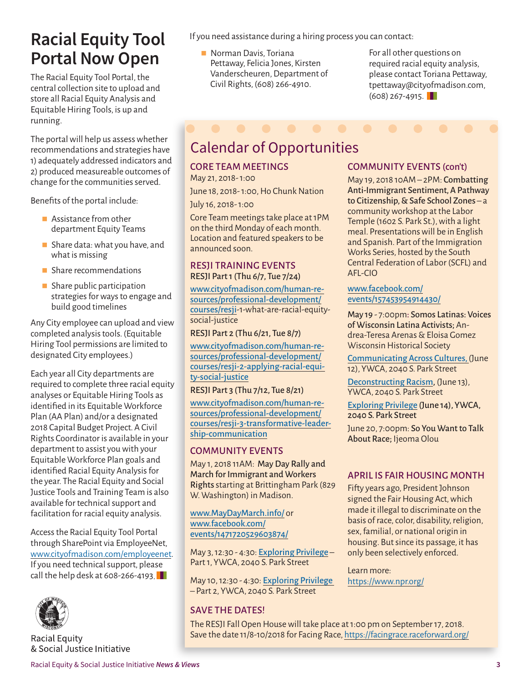## **Racial Equity Tool Portal Now Open**

The Racial Equity Tool Portal, the central collection site to upload and store all Racial Equity Analysis and Equitable Hiring Tools, is up and running.

The portal will help us assess whether recommendations and strategies have 1) adequately addressed indicators and 2) produced measureable outcomes of change for the communities served.

Benefits of the portal include:

- Assistance from other department Equity Teams
- Share data: what you have, and what is missing
- **Share recommendations**
- $\blacksquare$  Share public participation strategies for ways to engage and build good timelines

Any City employee can upload and view completed analysis tools. (Equitable Hiring Tool permissions are limited to designated City employees.)

Each year all City departments are required to complete three racial equity analyses or Equitable Hiring Tools as identified in its Equitable Workforce Plan (AA Plan) and/or a designated 2018 Capital Budget Project. A Civil Rights Coordinator is available in your department to assist you with your Equitable Workforce Plan goals and identified Racial Equity Analysis for the year. The Racial Equity and Social Justice Tools and Training Team is also available for technical support and facilitation for racial equity analysis.

Access the Racial Equity Tool Portal through SharePoint via EmployeeNet, [www.cityofmadison.com/employeenet.](http://www.cityofmadison.com/employeenet) If you need technical support, please call the help desk at 608-266-4193.



**Racial Equity** & Social Justice Initiative If you need assistance during a hiring process you can contact:

**Norman Davis, Toriana** Pettaway, Felicia Jones, Kirsten Vanderscheuren, Department of Civil Rights, (608) 266-4910.

For all other questions on required racial equity analysis, please contact Toriana Pettaway, tpettaway@cityofmadison.com,  $(608)$  267-4915.

# Calendar of Opportunities

## CORE TEAM MEETINGS

May 21, 2018- 1:00

June 18, 2018- 1:00, Ho Chunk Nation

July 16, 2018- 1:00

Core Team meetings take place at 1PM on the third Monday of each month. Location and featured speakers to be announced soon.

### RESJI TRAINING EVENTS RESJI Part 1 (Thu 6/7, Tue 7/24)

[www.cityofmadison.com/human-re](http://www.cityofmadison.com/human-resources/professional-development/courses/resji-1-what-are-racial-equity-social-justice)[sources/professional-development/](http://www.cityofmadison.com/human-resources/professional-development/courses/resji-1-what-are-racial-equity-social-justice) [courses/resji](http://www.cityofmadison.com/human-resources/professional-development/courses/resji-1-what-are-racial-equity-social-justice)-1-what-are-racial-equitysocial-justice

RESJI Part 2 (Thu 6/21, Tue 8/7)

[www.cityofmadison.com/human-re](www.cityofmadison.com/human-resources/professional-development/courses/resji-2-applying-racial-equity-social-justice)[sources/professional-development/](www.cityofmadison.com/human-resources/professional-development/courses/resji-2-applying-racial-equity-social-justice) [courses/resji-2-applying-racial-equi](www.cityofmadison.com/human-resources/professional-development/courses/resji-2-applying-racial-equity-social-justice)[ty-social-justice](www.cityofmadison.com/human-resources/professional-development/courses/resji-2-applying-racial-equity-social-justice)

RESJI Part 3 (Thu 7/12, Tue 8/21)

[www.cityofmadison.com/human-re](http://www.cityofmadison.com/human-resources/professional-development/courses/resji-3-transformative-leadership-communication)[sources/professional-development/](http://www.cityofmadison.com/human-resources/professional-development/courses/resji-3-transformative-leadership-communication) [courses/resji-3-transformative-leader](http://www.cityofmadison.com/human-resources/professional-development/courses/resji-3-transformative-leadership-communication)[ship-communication](http://www.cityofmadison.com/human-resources/professional-development/courses/resji-3-transformative-leadership-communication)

### COMMUNITY EVENTS

May 1, 2018 11AM: May Day Rally and March for Immigrant and Workers Rights starting at Brittingham Park (829 W. Washington) in Madison.

[www.MayDayMarch.info/](http://www.MayDayMarch.info/) or [www.facebook.com/](http://www.facebook.com/events/1471720529603874/) [events/1471720529603874/](http://www.facebook.com/events/1471720529603874/)

May 3, 12:30 - 4:30: [Exploring Privilege](http://ywcamadison.org/event/exploring-privilege-part-1/) – Part 1, YWCA, 2040 S. Park Street

May 10, 12:30 - 4:30: [Exploring Privilege](http://ywcamadison.org/event/exploring-privilege-part-2/)  – Part 2, YWCA, 2040 S. Park Street

### SAVE THE DATES!

### COMMUNITY EVENTS (con't)

May 19, 2018 10AM – 2PM: Combatting Anti-Immigrant Sentiment, A Pathway to Citizenship, & Safe School Zones – a community workshop at the Labor Temple (1602 S. Park St.), with a light meal. Presentations will be in English and Spanish. Part of the Immigration Works Series, hosted by the South Central Federation of Labor (SCFL) and AFL-CIO

[www.facebook.com/](http://www.facebook.com/events/157453954914430/) [events/157453954914430/](http://www.facebook.com/events/157453954914430/)

May 19 - 7:00pm: Somos Latinas: Voices of Wisconsin Latina Activists; Andrea-Teresa Arenas & Eloisa Gomez Wisconsin Historical Society

[Communicating Across Cultures,](http://ywcamadison.org/event/17693/) (June 12), YWCA, 2040 S. Park Street

[Deconstructing Racism](http://ywcamadison.org/event/deconstructing-racism/), (June 13), YWCA, 2040 S. Park Street

[Exploring Privilege](http://ywcamadison.org/event/exploring-privilege/) (June 14), YWCA, 2040 S. Park Street

June 20, 7:00pm: So You Want to Talk About Race; Ijeoma Olou

### APRIL IS FAIR HOUSING MONTH

Fifty years ago, President Johnson signed the Fair Housing Act, which made it illegal to discriminate on the basis of race, color, disability, religion, sex, familial, or national origin in housing. But since its passage, it has only been selectively enforced.

Learn more: [https://www.npr.org/](https://www.npr.org/2018/04/11/601419987/50-years-ago-president-johnson-signed-the-fair-housing-act)

The RESJI Fall Open House will take place at 1:00 pm on September 17, 2018. Save the date 11/8-10/2018 for Facing Race,<https://facingrace.raceforward.org/>